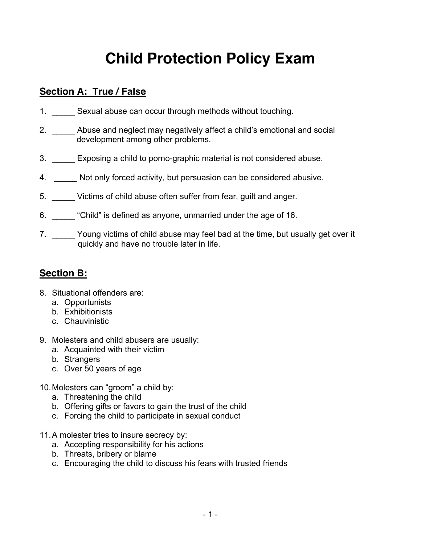# **Child Protection Policy Exam**

## **Section A: True / False**

- 1. Sexual abuse can occur through methods without touching.
- 2. \_\_\_\_\_ Abuse and neglect may negatively affect a child's emotional and social development among other problems.
- 3. Exposing a child to porno-graphic material is not considered abuse.
- 4. Not only forced activity, but persuasion can be considered abusive.
- 5. Victims of child abuse often suffer from fear, quilt and anger.
- 6. Child" is defined as anyone, unmarried under the age of 16.
- 7. \_\_\_\_\_\_ Young victims of child abuse may feel bad at the time, but usually get over it quickly and have no trouble later in life.

#### **Section B:**

- 8. Situational offenders are:
	- a. Opportunists
	- b. Exhibitionists
	- c. Chauvinistic
- 9. Molesters and child abusers are usually:
	- a. Acquainted with their victim
	- b. Strangers
	- c. Over 50 years of age
- 10. Molesters can "groom" a child by:
	- a. Threatening the child
	- b. Offering gifts or favors to gain the trust of the child
	- c. Forcing the child to participate in sexual conduct
- 11. A molester tries to insure secrecy by:
	- a. Accepting responsibility for his actions
	- b. Threats, bribery or blame
	- c. Encouraging the child to discuss his fears with trusted friends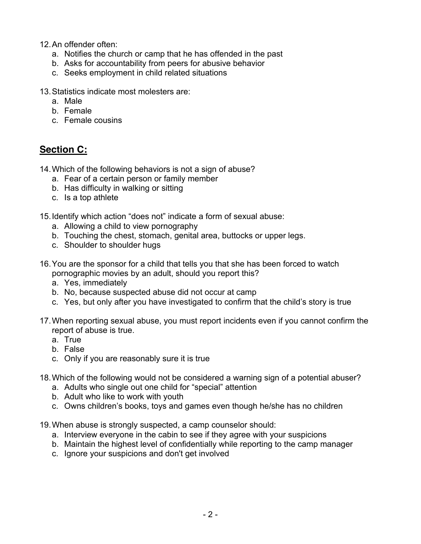12. An offender often:

- a. Notifies the church or camp that he has offended in the past
- b. Asks for accountability from peers for abusive behavior
- c. Seeks employment in child related situations

13. Statistics indicate most molesters are:

- a. Male
- b. Female
- c. Female cousins

#### **Section C:**

14. Which of the following behaviors is not a sign of abuse?

- a. Fear of a certain person or family member
- b. Has difficulty in walking or sitting
- c. Is a top athlete
- 15. Identify which action "does not" indicate a form of sexual abuse:
	- a. Allowing a child to view pornography
	- b. Touching the chest, stomach, genital area, buttocks or upper legs.
	- c. Shoulder to shoulder hugs
- 16. You are the sponsor for a child that tells you that she has been forced to watch pornographic movies by an adult, should you report this?
	- a. Yes, immediately
	- b. No, because suspected abuse did not occur at camp
	- c. Yes, but only after you have investigated to confirm that the child's story is true
- 17. When reporting sexual abuse, you must report incidents even if you cannot confirm the report of abuse is true.
	- a. True
	- b False
	- c. Only if you are reasonably sure it is true
- 18. Which of the following would not be considered a warning sign of a potential abuser?
	- a. Adults who single out one child for "special" attention
	- b. Adult who like to work with youth
	- c. Owns children's books, toys and games even though he/she has no children
- 19. When abuse is strongly suspected, a camp counselor should:
	- a. Interview everyone in the cabin to see if they agree with your suspicions
	- b. Maintain the highest level of confidentially while reporting to the camp manager
	- c. Ignore your suspicions and don't get involved